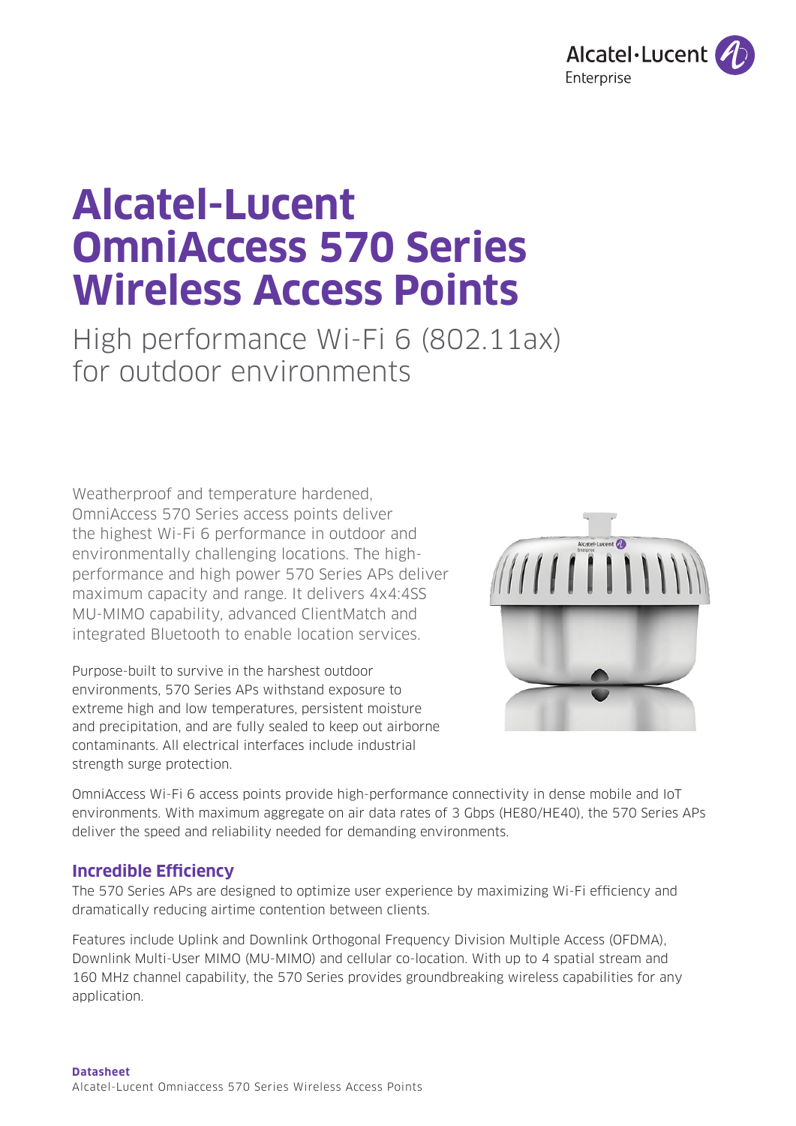

# **Alcatel-Lucent OmniAccess 570 Series Wireless Access Points**

High performance Wi-Fi 6 (802.11ax) for outdoor environments

Weatherproof and temperature hardened, OmniAccess 570 Series access points deliver the highest Wi-Fi 6 performance in outdoor and environmentally challenging locations. The highperformance and high power 570 Series APs deliver maximum capacity and range. It delivers 4x4:4SS MU-MIMO capability, advanced ClientMatch and integrated Bluetooth to enable location services.

Purpose-built to survive in the harshest outdoor environments, 570 Series APs withstand exposure to extreme high and low temperatures, persistent moisture and precipitation, and are fully sealed to keep out airborne contaminants. All electrical interfaces include industrial strength surge protection.



OmniAccess Wi-Fi 6 access points provide high-performance connectivity in dense mobile and IoT environments. With maximum aggregate on air data rates of 3 Gbps (HE80/HE40), the 570 Series APs deliver the speed and reliability needed for demanding environments.

# **Incredible Efficiency**

The 570 Series APs are designed to optimize user experience by maximizing Wi-Fi efficiency and dramatically reducing airtime contention between clients.

Features include Uplink and Downlink Orthogonal Frequency Division Multiple Access (OFDMA), Downlink Multi-User MIMO (MU-MIMO) and cellular co-location. With up to 4 spatial stream and 160 MHz channel capability, the 570 Series provides groundbreaking wireless capabilities for any application.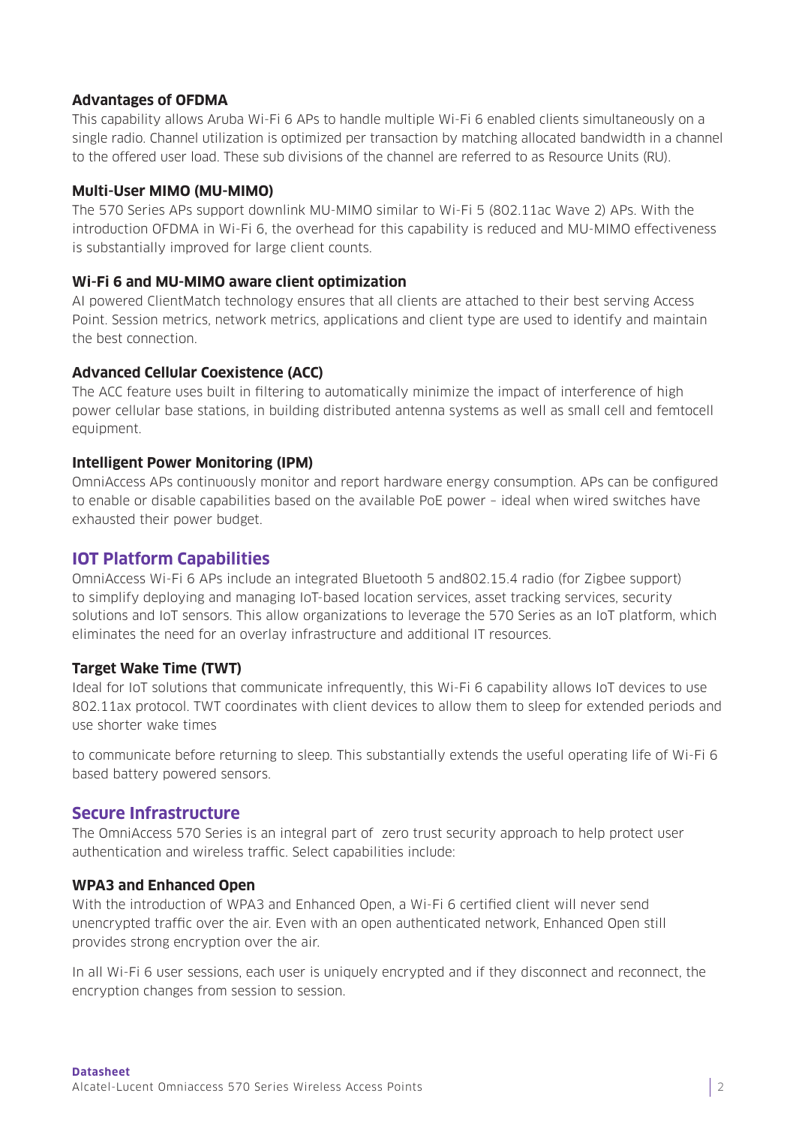#### **Advantages of OFDMA**

This capability allows Aruba Wi-Fi 6 APs to handle multiple Wi-Fi 6 enabled clients simultaneously on a single radio. Channel utilization is optimized per transaction by matching allocated bandwidth in a channel to the offered user load. These sub divisions of the channel are referred to as Resource Units (RU).

## **Multi-User MIMO (MU-MIMO)**

The 570 Series APs support downlink MU-MIMO similar to Wi-Fi 5 (802.11ac Wave 2) APs. With the introduction OFDMA in Wi-Fi 6, the overhead for this capability is reduced and MU-MIMO effectiveness is substantially improved for large client counts.

## **Wi-Fi 6 and MU-MIMO aware client optimization**

AI powered ClientMatch technology ensures that all clients are attached to their best serving Access Point. Session metrics, network metrics, applications and client type are used to identify and maintain the best connection.

## **Advanced Cellular Coexistence (ACC)**

The ACC feature uses built in filtering to automatically minimize the impact of interference of high power cellular base stations, in building distributed antenna systems as well as small cell and femtocell equipment.

## **Intelligent Power Monitoring (IPM)**

OmniAccess APs continuously monitor and report hardware energy consumption. APs can be configured to enable or disable capabilities based on the available PoE power – ideal when wired switches have exhausted their power budget.

# **IOT Platform Capabilities**

OmniAccess Wi-Fi 6 APs include an integrated Bluetooth 5 and802.15.4 radio (for Zigbee support) to simplify deploying and managing IoT-based location services, asset tracking services, security solutions and IoT sensors. This allow organizations to leverage the 570 Series as an IoT platform, which eliminates the need for an overlay infrastructure and additional IT resources.

# **Target Wake Time (TWT)**

Ideal for IoT solutions that communicate infrequently, this Wi-Fi 6 capability allows IoT devices to use 802.11ax protocol. TWT coordinates with client devices to allow them to sleep for extended periods and use shorter wake times

to communicate before returning to sleep. This substantially extends the useful operating life of Wi-Fi 6 based battery powered sensors.

# **Secure Infrastructure**

The OmniAccess 570 Series is an integral part of zero trust security approach to help protect user authentication and wireless traffic. Select capabilities include:

#### **WPA3 and Enhanced Open**

With the introduction of WPA3 and Enhanced Open, a Wi-Fi 6 certified client will never send unencrypted traffic over the air. Even with an open authenticated network, Enhanced Open still provides strong encryption over the air.

In all Wi-Fi 6 user sessions, each user is uniquely encrypted and if they disconnect and reconnect, the encryption changes from session to session.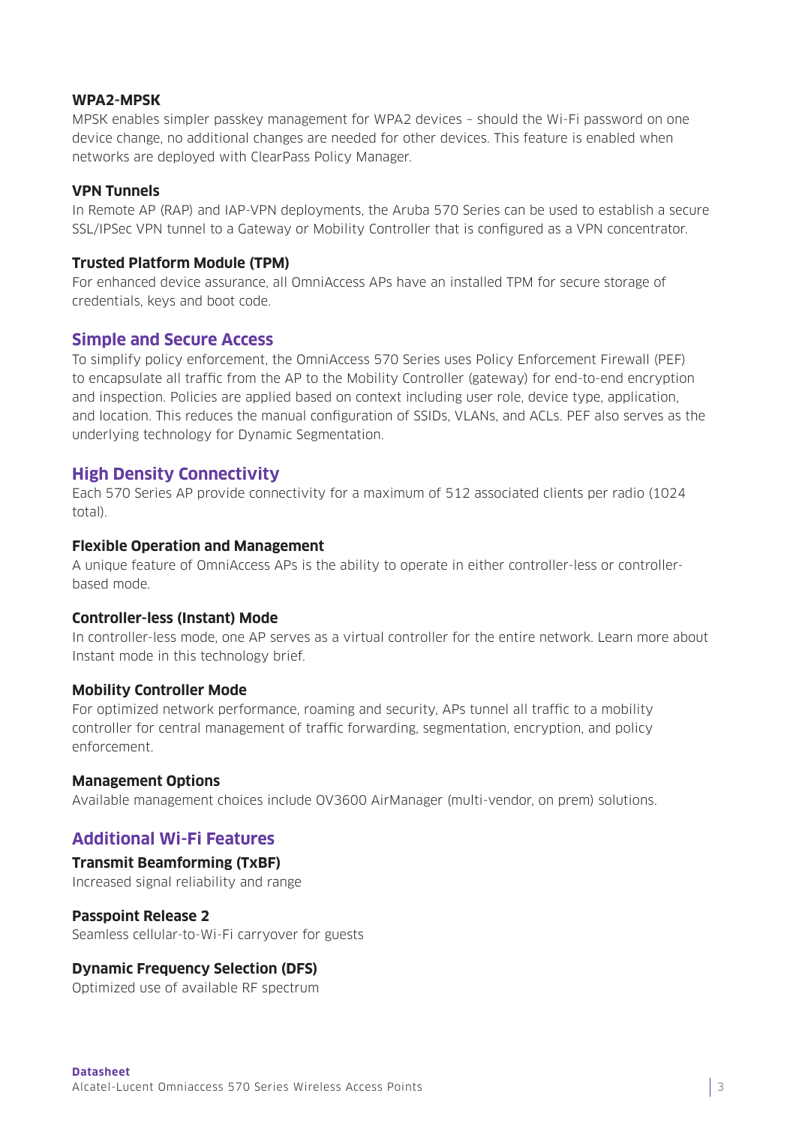#### **WPA2-MPSK**

MPSK enables simpler passkey management for WPA2 devices – should the Wi-Fi password on one device change, no additional changes are needed for other devices. This feature is enabled when networks are deployed with ClearPass Policy Manager.

#### **VPN Tunnels**

In Remote AP (RAP) and IAP-VPN deployments, the Aruba 570 Series can be used to establish a secure SSL/IPSec VPN tunnel to a Gateway or Mobility Controller that is configured as a VPN concentrator.

#### **Trusted Platform Module (TPM)**

For enhanced device assurance, all OmniAccess APs have an installed TPM for secure storage of credentials, keys and boot code.

## **Simple and Secure Access**

To simplify policy enforcement, the OmniAccess 570 Series uses Policy Enforcement Firewall (PEF) to encapsulate all traffic from the AP to the Mobility Controller (gateway) for end-to-end encryption and inspection. Policies are applied based on context including user role, device type, application, and location. This reduces the manual configuration of SSIDs, VLANs, and ACLs. PEF also serves as the underlying technology for Dynamic Segmentation.

# **High Density Connectivity**

Each 570 Series AP provide connectivity for a maximum of 512 associated clients per radio (1024 total).

#### **Flexible Operation and Management**

A unique feature of OmniAccess APs is the ability to operate in either controller-less or controllerbased mode.

#### **Controller-less (Instant) Mode**

In controller-less mode, one AP serves as a virtual controller for the entire network. Learn more about Instant mode in this technology brief.

#### **Mobility Controller Mode**

For optimized network performance, roaming and security, APs tunnel all traffic to a mobility controller for central management of traffic forwarding, segmentation, encryption, and policy enforcement.

#### **Management Options**

Available management choices include OV3600 AirManager (multi-vendor, on prem) solutions.

# **Additional Wi-Fi Features**

## **Transmit Beamforming (TxBF)**

Increased signal reliability and range

#### **Passpoint Release 2**

Seamless cellular-to-Wi-Fi carryover for guests

#### **Dynamic Frequency Selection (DFS)**

Optimized use of available RF spectrum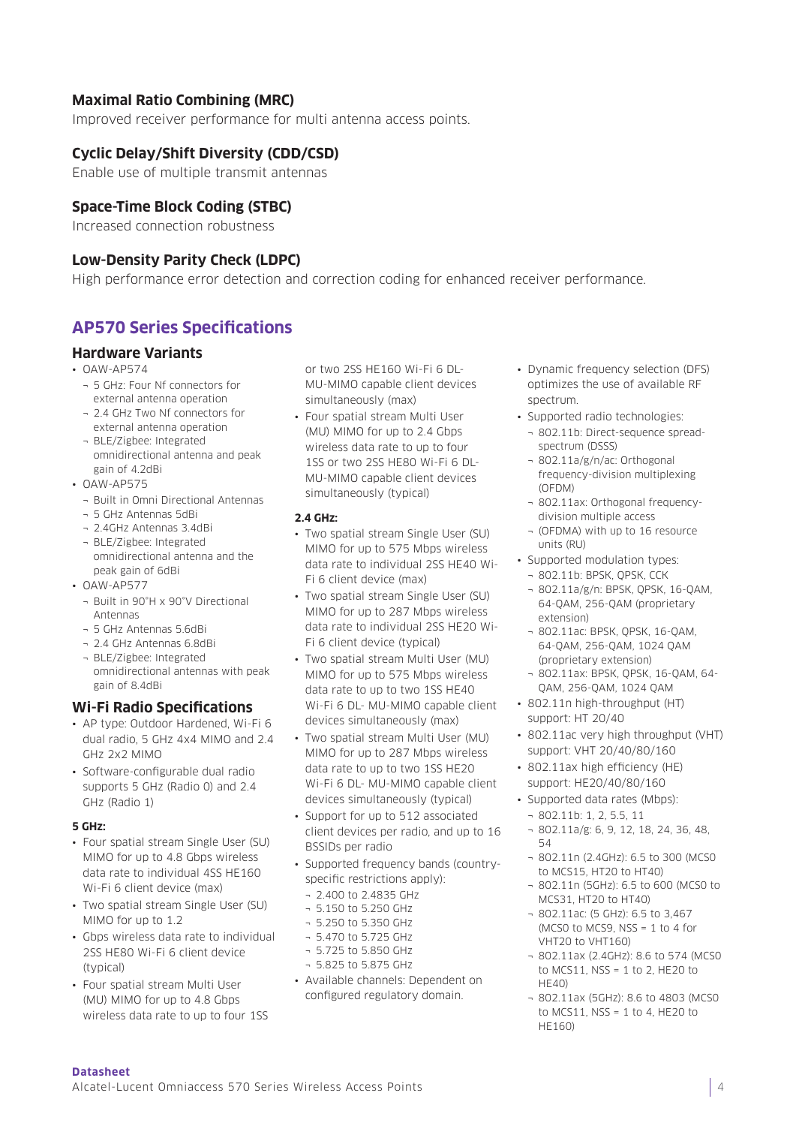## **Maximal Ratio Combining (MRC)**

Improved receiver performance for multi antenna access points.

#### **Cyclic Delay/Shift Diversity (CDD/CSD)**

Enable use of multiple transmit antennas

#### **Space-Time Block Coding (STBC)**

Increased connection robustness

#### **Low-Density Parity Check (LDPC)**

High performance error detection and correction coding for enhanced receiver performance.

# **AP570 Series Specifications**

#### **Hardware Variants**

- OAW-AP574
	- ¬ 5 GHz: Four Nf connectors for external antenna operation
	- ¬ 2.4 GHz Two Nf connectors for external antenna operation
	- ¬ BLE/Zigbee: Integrated omnidirectional antenna and peak gain of 4.2dBi
- OAW-AP575
	- ¬ Built in Omni Directional Antennas
	- ¬ 5 GHz Antennas 5dBi
	- ¬ 2.4GHz Antennas 3.4dBi
	- ¬ BLE/Zigbee: Integrated omnidirectional antenna and the peak gain of 6dBi
- OAW-AP577
	- ¬ Built in 90°H x 90°V Directional Antennas
	- ¬ 5 GHz Antennas 5.6dBi
	- ¬ 2.4 GHz Antennas 6.8dBi
	- ¬ BLE/Zigbee: Integrated omnidirectional antennas with peak gain of 8.4dBi

#### **Wi-Fi Radio Specifications**

- AP type: Outdoor Hardened, Wi-Fi 6 dual radio, 5 GHz 4x4 MIMO and 2.4 GHz 2x2 MIMO
- Software-configurable dual radio supports 5 GHz (Radio 0) and 2.4 GHz (Radio 1)

#### **5 GHz:**

- Four spatial stream Single User (SU) MIMO for up to 4.8 Gbps wireless data rate to individual 4SS HE160 Wi-Fi 6 client device (max)
- Two spatial stream Single User (SU) MIMO for up to 1.2
- Gbps wireless data rate to individual 2SS HE80 Wi-Fi 6 client device (typical)
- Four spatial stream Multi User (MU) MIMO for up to 4.8 Gbps wireless data rate to up to four 1SS

or two 2SS HE160 Wi-Fi 6 DL-MU-MIMO capable client devices simultaneously (max)

• Four spatial stream Multi User (MU) MIMO for up to 2.4 Gbps wireless data rate to up to four 1SS or two 2SS HE80 Wi-Fi 6 DL-MU-MIMO capable client devices simultaneously (typical)

#### **2.4 GHz:**

- Two spatial stream Single User (SU) MIMO for up to 575 Mbps wireless data rate to individual 2SS HE40 Wi-Fi 6 client device (max)
- Two spatial stream Single User (SU) MIMO for up to 287 Mbps wireless data rate to individual 2SS HE20 Wi-Fi 6 client device (typical)
- Two spatial stream Multi User (MU) MIMO for up to 575 Mbps wireless data rate to up to two 1SS HE40 Wi-Fi 6 DL- MU-MIMO capable client devices simultaneously (max)
- Two spatial stream Multi User (MU) MIMO for up to 287 Mbps wireless data rate to up to two 1SS HE20 Wi-Fi 6 DL- MU-MIMO capable client devices simultaneously (typical)
- Support for up to 512 associated client devices per radio, and up to 16 BSSIDs per radio
- Supported frequency bands (countryspecific restrictions apply):
	- ¬ 2.400 to 2.4835 GHz
	- ¬ 5.150 to 5.250 GHz
	- ¬ 5.250 to 5.350 GHz
	- ¬ 5.470 to 5.725 GHz
	- ¬ 5.725 to 5.850 GHz ¬ 5.825 to 5.875 GHz
- Available channels: Dependent on configured regulatory domain.
- Dynamic frequency selection (DFS) optimizes the use of available RF spectrum.
- Supported radio technologies:
	- ¬ 802.11b: Direct-sequence spreadspectrum (DSSS)
	- ¬ 802.11a/g/n/ac: Orthogonal frequency-division multiplexing (OFDM)
	- ¬ 802.11ax: Orthogonal frequencydivision multiple access
	- ¬ (OFDMA) with up to 16 resource units (RU)
- Supported modulation types:
	- ¬ 802.11b: BPSK, QPSK, CCK
	- ¬ 802.11a/g/n: BPSK, QPSK, 16-QAM, 64-QAM, 256-QAM (proprietary extension)
	- ¬ 802.11ac: BPSK, QPSK, 16-QAM, 64-QAM, 256-QAM, 1024 QAM (proprietary extension)
	- ¬ 802.11ax: BPSK, QPSK, 16-QAM, 64- QAM, 256-QAM, 1024 QAM
- 802.11n high-throughput (HT) support: HT 20/40
- 802.11ac very high throughput (VHT) support: VHT 20/40/80/160
- 802.11ax high efficiency (HE) support: HE20/40/80/160
- Supported data rates (Mbps): ¬ 802.11b: 1, 2, 5.5, 11
	- ¬ 802.11a/g: 6, 9, 12, 18, 24, 36, 48, 54
	- ¬ 802.11n (2.4GHz): 6.5 to 300 (MCS0 to MCS15, HT20 to HT40)
	- ¬ 802.11n (5GHz): 6.5 to 600 (MCS0 to MCS31, HT20 to HT40)
	- ¬ 802.11ac: (5 GHz): 6.5 to 3,467 (MCS0 to MCS9, NSS = 1 to 4 for VHT20 to VHT160)
	- ¬ 802.11ax (2.4GHz): 8.6 to 574 (MCS0 to MCS11, NSS = 1 to 2, HE20 to  $HFAO$
	- ¬ 802.11ax (5GHz): 8.6 to 4803 (MCS0 to MCS11, NSS = 1 to 4, HE20 to HE160)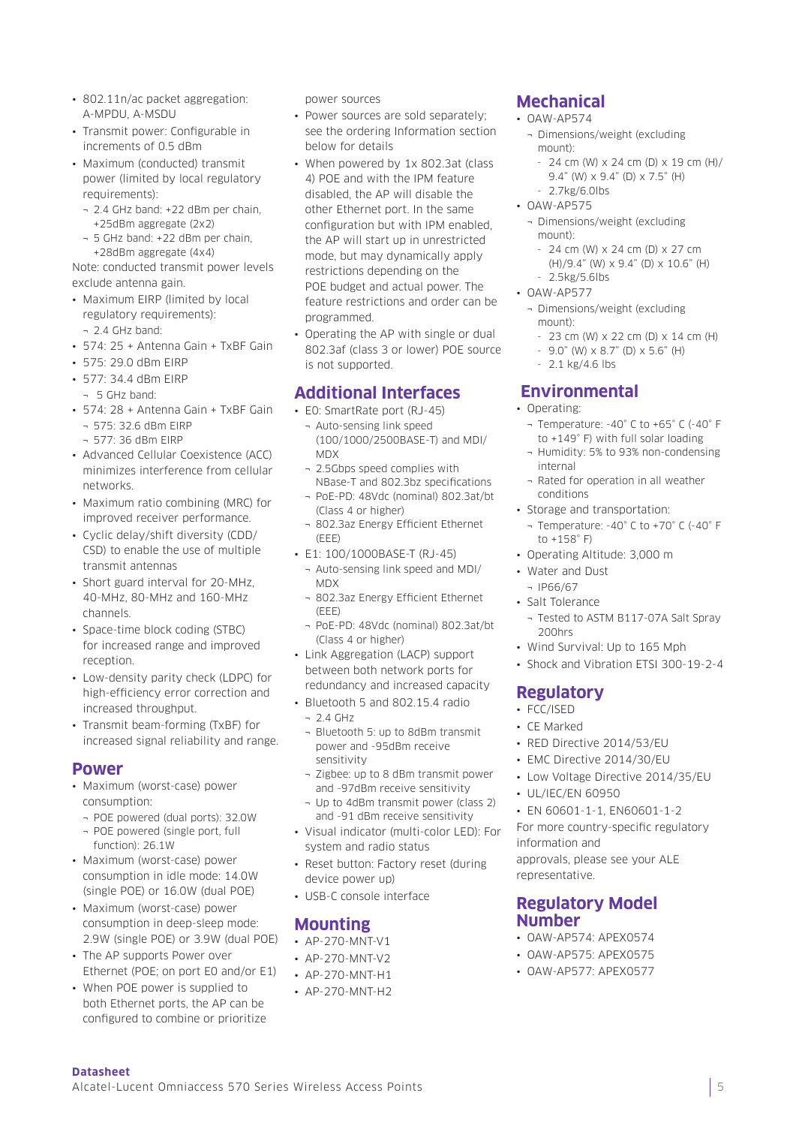- 802.11n/ac packet aggregation: A-MPDU, A-MSDU
- Transmit power: Configurable in increments of 0.5 dBm
- Maximum (conducted) transmit power (limited by local regulatory requirements):
	- ¬ 2.4 GHz band: +22 dBm per chain, +25dBm aggregate (2x2)
	- ¬ 5 GHz band: +22 dBm per chain, +28dBm aggregate (4x4)

Note: conducted transmit power levels exclude antenna gain.

- Maximum EIRP (limited by local regulatory requirements): ¬ 2.4 GHz band:
- 574: 25 + Antenna Gain + TxBF Gain
- 575: 29.0 dBm EIRP
- 577: 34.4 dBm EIRP
- ¬ 5 GHz band:
- 574: 28 + Antenna Gain + TxBF Gain
	- ¬ 575: 32.6 dBm EIRP
	- ¬ 577: 36 dBm EIRP
- Advanced Cellular Coexistence (ACC) minimizes interference from cellular networks.
- Maximum ratio combining (MRC) for improved receiver performance.
- Cyclic delay/shift diversity (CDD/ CSD) to enable the use of multiple transmit antennas
- Short guard interval for 20-MHz, 40-MHz, 80-MHz and 160-MHz channels.
- Space-time block coding (STBC) for increased range and improved reception.
- Low-density parity check (LDPC) for high-efficiency error correction and increased throughput.
- Transmit beam-forming (TxBF) for increased signal reliability and range.

#### **Power**

- Maximum (worst-case) power consumption:
	- ¬ POE powered (dual ports): 32.0W
	- ¬ POE powered (single port, full function): 26.1W
- Maximum (worst-case) power consumption in idle mode: 14.0W (single POE) or 16.0W (dual POE)
- Maximum (worst-case) power consumption in deep-sleep mode: 2.9W (single POE) or 3.9W (dual POE)
- The AP supports Power over Ethernet (POE; on port E0 and/or E1)
- When POE power is supplied to both Ethernet ports, the AP can be configured to combine or prioritize

power sources

- Power sources are sold separately; see the ordering Information section below for details
- When powered by 1x 802.3at (class 4) POE and with the IPM feature disabled, the AP will disable the other Ethernet port. In the same configuration but with IPM enabled, the AP will start up in unrestricted mode, but may dynamically apply restrictions depending on the POE budget and actual power. The feature restrictions and order can be programmed.
- Operating the AP with single or dual 802.3af (class 3 or lower) POE source is not supported.

# **Additional Interfaces**

- E0: SmartRate port (RJ-45)
	- ¬ Auto-sensing link speed (100/1000/2500BASE-T) and MDI/ MDX
	- ¬ 2.5Gbps speed complies with NBase-T and 802.3bz specifications
	- ¬ PoE-PD: 48Vdc (nominal) 802.3at/bt (Class 4 or higher)
	- ¬ 802.3az Energy Efficient Ethernet (EEE)
- E1: 100/1000BASE-T (RJ-45)
	- ¬ Auto-sensing link speed and MDI/ **MDX**
	- ¬ 802.3az Energy Efficient Ethernet  $(FFF)$
	- ¬ PoE-PD: 48Vdc (nominal) 802.3at/bt (Class 4 or higher)
- Link Aggregation (LACP) support between both network ports for redundancy and increased capacity
- Bluetooth 5 and 802.15.4 radio ¬ 2.4 GHz
	- ¬ Bluetooth 5: up to 8dBm transmit power and -95dBm receive sensitivity
	- ¬ Zigbee: up to 8 dBm transmit power and -97dBm receive sensitivity
	- ¬ Up to 4dBm transmit power (class 2) and -91 dBm receive sensitivity
- Visual indicator (multi-color LED): For system and radio status
- Reset button: Factory reset (during device power up)
- USB-C console interface

# **Mounting**

- AP-270-MNT-V1
- AP-270-MNT-V2
- AP-270-MNT-H1
- AP-270-MNT-H2

# **Mechanical**

- OAW-AP574
	- ¬ Dimensions/weight (excluding mount):
		- $-$  24 cm (W) x 24 cm (D) x 19 cm (H)/ 9.4" (W) x 9.4" (D) x 7.5" (H)
- 2.7kg/6.0lbs • OAW-AP575
	- ¬ Dimensions/weight (excluding mount):
		- 24 cm (W) x 24 cm (D) x 27 cm
		- (H)/9.4" (W) x 9.4" (D) x 10.6" (H)
- 2.5kg/5.6lbs
- OAW-AP577
	- ¬ Dimensions/weight (excluding mount):
	- $-$  23 cm (W)  $\times$  22 cm (D)  $\times$  14 cm (H)
	- $-$  9.0" (W)  $\times$  8.7" (D)  $\times$  5.6" (H)
	- 2.1 kg/4.6 lbs

# **Environmental**

- Operating:
	- ¬ Temperature: -40° C to +65° C (-40° F to +149° F) with full solar loading
	- ¬ Humidity: 5% to 93% non-condensing internal
	- ¬ Rated for operation in all weather conditions
- Storage and transportation:
	- ¬ Temperature: -40° C to +70° C (-40° F to +158° F)
- Operating Altitude: 3,000 m
- Water and Dust
- ¬ IP66/67
- Salt Tolerance ¬ Tested to ASTM B117-07A Salt Spray 200hrs
- Wind Survival: Up to 165 Mph
- Shock and Vibration ETSI 300-19-2-4

# **Regulatory**

- FCC/ISED
- CE Marked
- RED Directive 2014/53/EU
- EMC Directive 2014/30/EU
- Low Voltage Directive 2014/35/EU
- UL/IEC/EN 60950
- EN 60601-1-1, EN60601-1-2

For more country-specific regulatory information and

approvals, please see your ALE representative.

## **Regulatory Model Number**

- OAW-AP574: APEX0574
- OAW-AP575: APEX0575
- OAW-AP577: APEX0577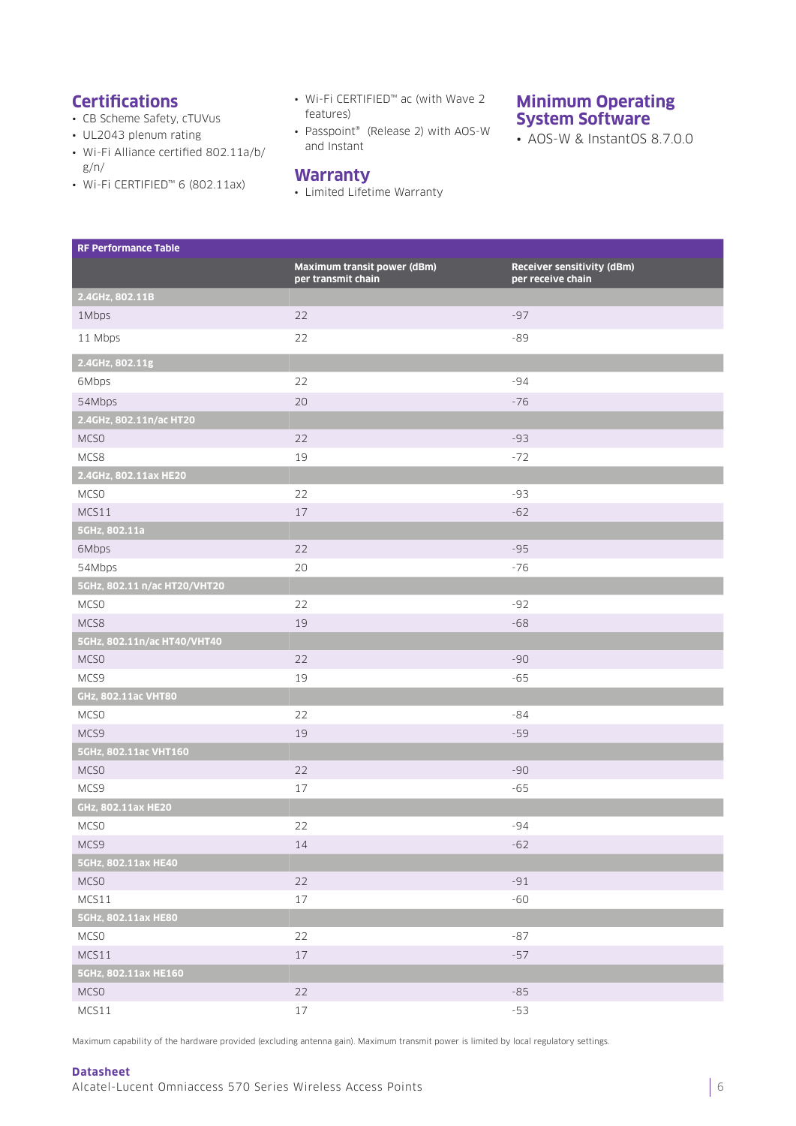# **Certifications**

- CB Scheme Safety, cTUVus
- UL2043 plenum rating
- Wi-Fi Alliance certified 802.11a/b/ g/n/
- Wi-Fi CERTIFIED™ 6 (802.11ax)
- Wi-Fi CERTIFIED™ ac (with Wave 2 features)
	- Passpoint® (Release 2) with AOS-W and Instant

# **Minimum Operating System Software**

• AOS-W & InstantOS 8.7.0.0

#### **Warranty**

• Limited Lifetime Warranty

| <b>RF Performance Table</b>  |                                                   |                                                 |
|------------------------------|---------------------------------------------------|-------------------------------------------------|
|                              | Maximum transit power (dBm)<br>per transmit chain | Receiver sensitivity (dBm)<br>per receive chain |
| 2.4GHz, 802.11B              |                                                   |                                                 |
| 1Mbps                        | 22                                                | $-97$                                           |
| 11 Mbps                      | 22                                                | $-89$                                           |
| 2.4GHz, 802.11g              |                                                   |                                                 |
| 6Mbps                        | 22                                                | $-94$                                           |
| 54Mbps                       | 20                                                | $-76$                                           |
| 2.4GHz, 802.11n/ac HT20      |                                                   |                                                 |
| MCSO                         | 22                                                | $-93$                                           |
| MCS8                         | 19                                                | $-72$                                           |
| 2.4GHz, 802.11ax HE20        |                                                   |                                                 |
| MCS <sub>0</sub>             | 22                                                | $-93$                                           |
| MCS11                        | 17                                                | $-62$                                           |
| 5GHz, 802.11a                |                                                   |                                                 |
| 6Mbps                        | 22                                                | $-95$                                           |
| 54Mbps                       | 20                                                | $-76$                                           |
| 5GHz, 802.11 n/ac HT20/VHT20 |                                                   |                                                 |
| MCS <sub>0</sub>             | 22                                                | $-92$                                           |
| MCS8                         | 19                                                | $-68$                                           |
| 5GHz, 802.11n/ac HT40/VHT40  |                                                   |                                                 |
| MCS <sub>0</sub>             | 22                                                | $-90$                                           |
| MCS9                         | 19                                                | $-65$                                           |
| GHz, 802.11ac VHT80          |                                                   |                                                 |
| MCS <sub>0</sub>             | 22                                                | $-84$                                           |
| MCS9                         | 19                                                | $-59$                                           |
| 5GHz, 802.11ac VHT160        |                                                   |                                                 |
| MCSO                         | 22                                                | $-90$                                           |
| MCS9                         | 17                                                | $-65$                                           |
| GHz, 802.11ax HE20           |                                                   |                                                 |
| MCS <sub>0</sub>             | 22                                                | $-94$                                           |
| MCS9                         | $14$                                              | $-62$                                           |
| 5GHz, 802.11ax HE40          |                                                   |                                                 |
| MCSO                         | 22                                                | $-91$                                           |
| MCS11                        | $17\,$                                            | $-60$                                           |
| 5GHz, 802.11ax HE80          |                                                   |                                                 |
| <b>MCSO</b>                  | 22                                                | $-87$                                           |
| MCS11                        | 17                                                | $-57$                                           |
| 5GHz, 802.11ax HE160         |                                                   |                                                 |
| <b>MCSO</b>                  | 22                                                | $-85$                                           |
| MCS11                        | $17\,$                                            | $-53$                                           |

Maximum capability of the hardware provided (excluding antenna gain). Maximum transmit power is limited by local regulatory settings.